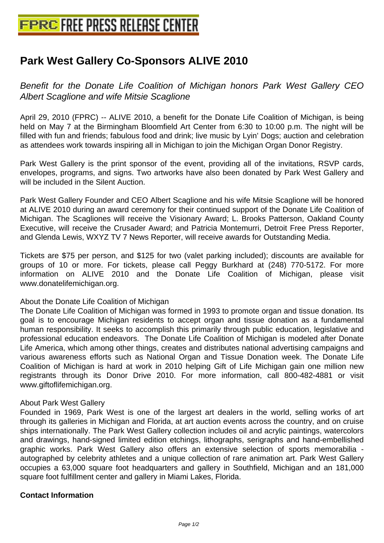## **[Park West Gallery Co-Sponsors AL](http://www.free-press-release-center.info)IVE 2010**

Benefit for the Donate Life Coalition of Michigan honors Park West Gallery CEO Albert Scaglione and wife Mitsie Scaglione

April 29, 2010 (FPRC) -- ALIVE 2010, a benefit for the Donate Life Coalition of Michigan, is being held on May 7 at the Birmingham Bloomfield Art Center from 6:30 to 10:00 p.m. The night will be filled with fun and friends; fabulous food and drink; live music by Lyin' Dogs; auction and celebration as attendees work towards inspiring all in Michigan to join the Michigan Organ Donor Registry.

Park West Gallery is the print sponsor of the event, providing all of the invitations, RSVP cards, envelopes, programs, and signs. Two artworks have also been donated by Park West Gallery and will be included in the Silent Auction.

Park West Gallery Founder and CEO Albert Scaglione and his wife Mitsie Scaglione will be honored at ALIVE 2010 during an award ceremony for their continued support of the Donate Life Coalition of Michigan. The Scagliones will receive the Visionary Award; L. Brooks Patterson, Oakland County Executive, will receive the Crusader Award; and Patricia Montemurri, Detroit Free Press Reporter, and Glenda Lewis, WXYZ TV 7 News Reporter, will receive awards for Outstanding Media.

Tickets are \$75 per person, and \$125 for two (valet parking included); discounts are available for groups of 10 or more. For tickets, please call Peggy Burkhard at (248) 770-5172. For more information on ALIVE 2010 and the Donate Life Coalition of Michigan, please visit www.donatelifemichigan.org.

## About the Donate Life Coalition of Michigan

The Donate Life Coalition of Michigan was formed in 1993 to promote organ and tissue donation. Its goal is to encourage Michigan residents to accept organ and tissue donation as a fundamental human responsibility. It seeks to accomplish this primarily through public education, legislative and professional education endeavors. The Donate Life Coalition of Michigan is modeled after Donate Life America, which among other things, creates and distributes national advertising campaigns and various awareness efforts such as National Organ and Tissue Donation week. The Donate Life Coalition of Michigan is hard at work in 2010 helping Gift of Life Michigan gain one million new registrants through its Donor Drive 2010. For more information, call 800-482-4881 or visit www.giftoflifemichigan.org.

## About Park West Gallery

Founded in 1969, Park West is one of the largest art dealers in the world, selling works of art through its galleries in Michigan and Florida, at art auction events across the country, and on cruise ships internationally. The Park West Gallery collection includes oil and acrylic paintings, watercolors and drawings, hand-signed limited edition etchings, lithographs, serigraphs and hand-embellished graphic works. Park West Gallery also offers an extensive selection of sports memorabilia autographed by celebrity athletes and a unique collection of rare animation art. Park West Gallery occupies a 63,000 square foot headquarters and gallery in Southfield, Michigan and an 181,000 square foot fulfillment center and gallery in Miami Lakes, Florida.

## **Contact Information**